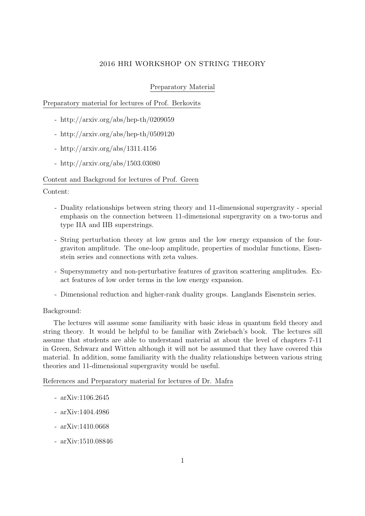# 2016 HRI WORKSHOP ON STRING THEORY

## Preparatory Material

Preparatory material for lectures of Prof. Berkovits

- http://arxiv.org/abs/hep-th/0209059
- http://arxiv.org/abs/hep-th/0509120
- http://arxiv.org/abs/1311.4156
- http://arxiv.org/abs/1503.03080

#### Content and Backgroud for lectures of Prof. Green

Content:

- Duality relationships between string theory and 11-dimensional supergravity special emphasis on the connection between 11-dimensional supergravity on a two-torus and type IIA and IIB superstrings.
- String perturbation theory at low genus and the low energy expansion of the fourgraviton amplitude. The one-loop amplitude, properties of modular functions, Eisenstein series and connections with zeta values.
- Supersymmetry and non-perturbative features of graviton scattering amplitudes. Exact features of low order terms in the low energy expansion.
- Dimensional reduction and higher-rank duality groups. Langlands Eisenstein series.

#### Background:

The lectures will assume some familiarity with basic ideas in quantum field theory and string theory. It would be helpful to be familiar with Zwiebach's book. The lectures sill assume that students are able to understand material at about the level of chapters 7-11 in Green, Schwarz and Witten although it will not be assumed that they have covered this material. In addition, some familiarity with the duality relationships between various string theories and 11-dimensional supergravity would be useful.

References and Preparatory material for lectures of Dr. Mafra

- arXiv:1106.2645
- arXiv:1404.4986
- arXiv:1410.0668
- arXiv:1510.08846